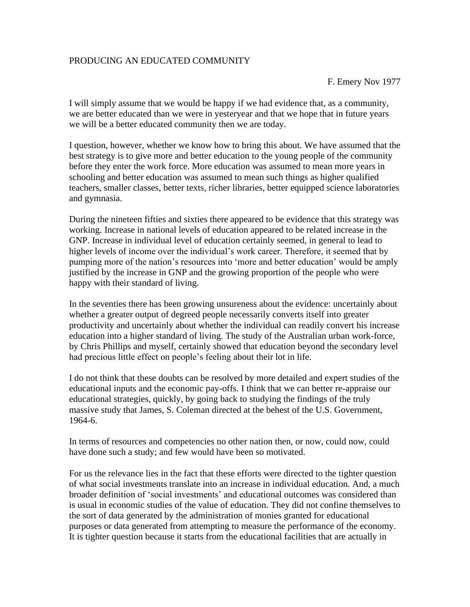## PRODUCING AN EDUCATED COMMUNITY

F. Emery Nov 1977

I will simply assume that we would be happy if we had evidence that, as a community, we are better educated than we were in yesteryear and that we hope that in future years we will be a better educated community then we are today.

I question, however, whether we know how to bring this about. We have assumed that the best strategy is to give more and better education to the young people of the community before they enter the work force. More education was assumed to mean more years in schooling and better education was assumed to mean such things as higher qualified teachers, smaller classes, better texts, richer libraries, better equipped science laboratories and gymnasia.

During the nineteen fifties and sixties there appeared to be evidence that this strategy was working. Increase in national levels of education appeared to be related increase in the GNP. Increase in individual level of education certainly seemed, in general to lead to higher levels of income over the individual's work career. Therefore, it seemed that by pumping more of the nation's resources into 'more and better education' would be amply justified by the increase in GNP and the growing proportion of the people who were happy with their standard of living.

In the seventies there has been growing unsureness about the evidence: uncertainly about whether a greater output of degreed people necessarily converts itself into greater productivity and uncertainly about whether the individual can readily convert his increase education into a higher standard of living. The study of the Australian urban work-force, by Chris Phillips and myself, certainly showed that education beyond the secondary level had precious little effect on people's feeling about their lot in life.

I do not think that these doubts can be resolved by more detailed and expert studies of the educational inputs and the economic pay-offs. I think that we can better re-appraise our educational strategies, quickly, by going back to studying the findings of the truly massive study that James, S. Coleman directed at the behest of the U.S. Government, 1964-6.

In terms of resources and competencies no other nation then, or now, could now, could have done such a study; and few would have been so motivated.

For us the relevance lies in the fact that these efforts were directed to the tighter question of what social investments translate into an increase in individual education. And, a much broader definition of 'social investments' and educational outcomes was considered than is usual in economic studies of the value of education. They did not confine themselves to the sort of data generated by the administration of monies granted for educational purposes or data generated from attempting to measure the performance of the economy. It is tighter question because it starts from the educational facilities that are actually in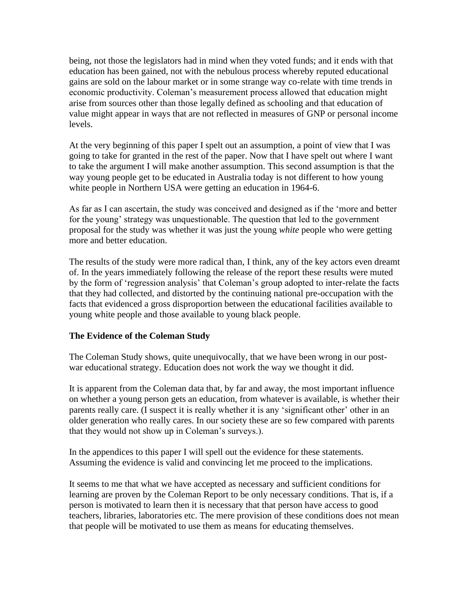being, not those the legislators had in mind when they voted funds; and it ends with that education has been gained, not with the nebulous process whereby reputed educational gains are sold on the labour market or in some strange way co-relate with time trends in economic productivity. Coleman's measurement process allowed that education might arise from sources other than those legally defined as schooling and that education of value might appear in ways that are not reflected in measures of GNP or personal income levels.

At the very beginning of this paper I spelt out an assumption, a point of view that I was going to take for granted in the rest of the paper. Now that I have spelt out where I want to take the argument I will make another assumption. This second assumption is that the way young people get to be educated in Australia today is not different to how young white people in Northern USA were getting an education in 1964-6.

As far as I can ascertain, the study was conceived and designed as if the 'more and better for the young' strategy was unquestionable. The question that led to the government proposal for the study was whether it was just the young *white* people who were getting more and better education.

The results of the study were more radical than, I think, any of the key actors even dreamt of. In the years immediately following the release of the report these results were muted by the form of 'regression analysis' that Coleman's group adopted to inter-relate the facts that they had collected, and distorted by the continuing national pre-occupation with the facts that evidenced a gross disproportion between the educational facilities available to young white people and those available to young black people.

## **The Evidence of the Coleman Study**

The Coleman Study shows, quite unequivocally, that we have been wrong in our postwar educational strategy. Education does not work the way we thought it did.

It is apparent from the Coleman data that, by far and away, the most important influence on whether a young person gets an education, from whatever is available, is whether their parents really care. (I suspect it is really whether it is any 'significant other' other in an older generation who really cares. In our society these are so few compared with parents that they would not show up in Coleman's surveys.).

In the appendices to this paper I will spell out the evidence for these statements. Assuming the evidence is valid and convincing let me proceed to the implications.

It seems to me that what we have accepted as necessary and sufficient conditions for learning are proven by the Coleman Report to be only necessary conditions. That is, if a person is motivated to learn then it is necessary that that person have access to good teachers, libraries, laboratories etc. The mere provision of these conditions does not mean that people will be motivated to use them as means for educating themselves.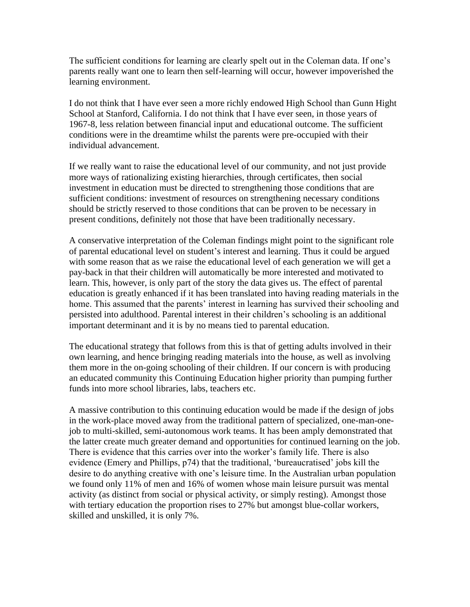The sufficient conditions for learning are clearly spelt out in the Coleman data. If one's parents really want one to learn then self-learning will occur, however impoverished the learning environment.

I do not think that I have ever seen a more richly endowed High School than Gunn Hight School at Stanford, California. I do not think that I have ever seen, in those years of 1967-8, less relation between financial input and educational outcome. The sufficient conditions were in the dreamtime whilst the parents were pre-occupied with their individual advancement.

If we really want to raise the educational level of our community, and not just provide more ways of rationalizing existing hierarchies, through certificates, then social investment in education must be directed to strengthening those conditions that are sufficient conditions: investment of resources on strengthening necessary conditions should be strictly reserved to those conditions that can be proven to be necessary in present conditions, definitely not those that have been traditionally necessary.

A conservative interpretation of the Coleman findings might point to the significant role of parental educational level on student's interest and learning. Thus it could be argued with some reason that as we raise the educational level of each generation we will get a pay-back in that their children will automatically be more interested and motivated to learn. This, however, is only part of the story the data gives us. The effect of parental education is greatly enhanced if it has been translated into having reading materials in the home. This assumed that the parents' interest in learning has survived their schooling and persisted into adulthood. Parental interest in their children's schooling is an additional important determinant and it is by no means tied to parental education.

The educational strategy that follows from this is that of getting adults involved in their own learning, and hence bringing reading materials into the house, as well as involving them more in the on-going schooling of their children. If our concern is with producing an educated community this Continuing Education higher priority than pumping further funds into more school libraries, labs, teachers etc.

A massive contribution to this continuing education would be made if the design of jobs in the work-place moved away from the traditional pattern of specialized, one-man-onejob to multi-skilled, semi-autonomous work teams. It has been amply demonstrated that the latter create much greater demand and opportunities for continued learning on the job. There is evidence that this carries over into the worker's family life. There is also evidence (Emery and Phillips, p74) that the traditional, 'bureaucratised' jobs kill the desire to do anything creative with one's leisure time. In the Australian urban population we found only 11% of men and 16% of women whose main leisure pursuit was mental activity (as distinct from social or physical activity, or simply resting). Amongst those with tertiary education the proportion rises to 27% but amongst blue-collar workers, skilled and unskilled, it is only 7%.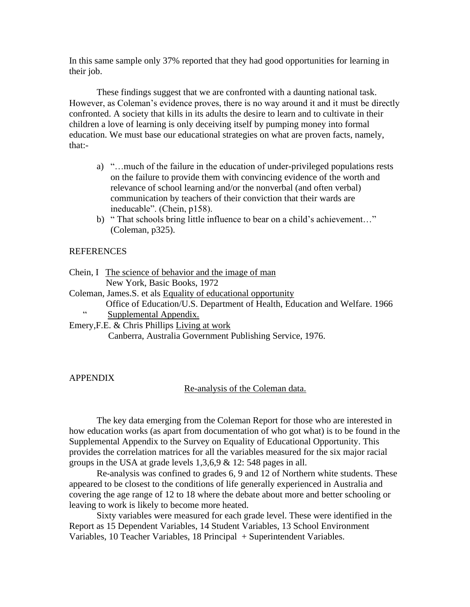In this same sample only 37% reported that they had good opportunities for learning in their job.

These findings suggest that we are confronted with a daunting national task. However, as Coleman's evidence proves, there is no way around it and it must be directly confronted. A society that kills in its adults the desire to learn and to cultivate in their children a love of learning is only deceiving itself by pumping money into formal education. We must base our educational strategies on what are proven facts, namely, that:-

- a) "…much of the failure in the education of under-privileged populations rests on the failure to provide them with convincing evidence of the worth and relevance of school learning and/or the nonverbal (and often verbal) communication by teachers of their conviction that their wards are ineducable". (Chein, p158).
- b) " That schools bring little influence to bear on a child's achievement…" (Coleman, p325).

#### REFERENCES

Chein, I The science of behavior and the image of man New York, Basic Books, 1972

- Coleman, James.S. et als Equality of educational opportunity
	- Office of Education/U.S. Department of Health, Education and Welfare. 1966<br>
	Supplemental Appendix
		- Supplemental Appendix.

Emery,F.E. & Chris Phillips Living at work

Canberra, Australia Government Publishing Service, 1976.

### APPENDIX

### Re-analysis of the Coleman data.

The key data emerging from the Coleman Report for those who are interested in how education works (as apart from documentation of who got what) is to be found in the Supplemental Appendix to the Survey on Equality of Educational Opportunity. This provides the correlation matrices for all the variables measured for the six major racial groups in the USA at grade levels  $1,3,6,9 \& 12: 548$  pages in all.

Re-analysis was confined to grades 6, 9 and 12 of Northern white students. These appeared to be closest to the conditions of life generally experienced in Australia and covering the age range of 12 to 18 where the debate about more and better schooling or leaving to work is likely to become more heated.

Sixty variables were measured for each grade level. These were identified in the Report as 15 Dependent Variables, 14 Student Variables, 13 School Environment Variables, 10 Teacher Variables, 18 Principal + Superintendent Variables.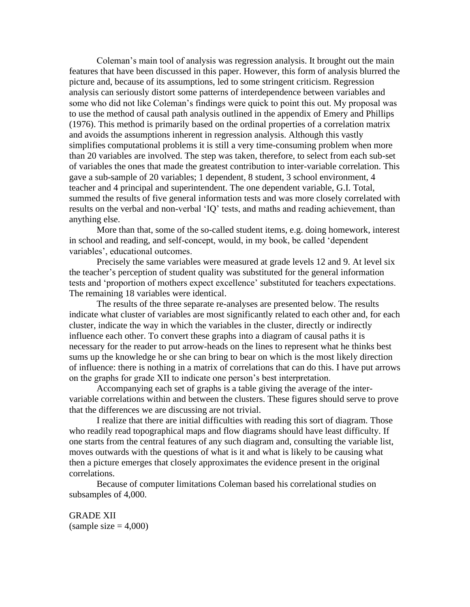Coleman's main tool of analysis was regression analysis. It brought out the main features that have been discussed in this paper. However, this form of analysis blurred the picture and, because of its assumptions, led to some stringent criticism. Regression analysis can seriously distort some patterns of interdependence between variables and some who did not like Coleman's findings were quick to point this out. My proposal was to use the method of causal path analysis outlined in the appendix of Emery and Phillips (1976). This method is primarily based on the ordinal properties of a correlation matrix and avoids the assumptions inherent in regression analysis. Although this vastly simplifies computational problems it is still a very time-consuming problem when more than 20 variables are involved. The step was taken, therefore, to select from each sub-set of variables the ones that made the greatest contribution to inter-variable correlation. This gave a sub-sample of 20 variables; 1 dependent, 8 student, 3 school environment, 4 teacher and 4 principal and superintendent. The one dependent variable, G.I. Total, summed the results of five general information tests and was more closely correlated with results on the verbal and non-verbal 'IQ' tests, and maths and reading achievement, than anything else.

More than that, some of the so-called student items, e.g. doing homework, interest in school and reading, and self-concept, would, in my book, be called 'dependent variables', educational outcomes.

Precisely the same variables were measured at grade levels 12 and 9. At level six the teacher's perception of student quality was substituted for the general information tests and 'proportion of mothers expect excellence' substituted for teachers expectations. The remaining 18 variables were identical.

The results of the three separate re-analyses are presented below. The results indicate what cluster of variables are most significantly related to each other and, for each cluster, indicate the way in which the variables in the cluster, directly or indirectly influence each other. To convert these graphs into a diagram of causal paths it is necessary for the reader to put arrow-heads on the lines to represent what he thinks best sums up the knowledge he or she can bring to bear on which is the most likely direction of influence: there is nothing in a matrix of correlations that can do this. I have put arrows on the graphs for grade XII to indicate one person's best interpretation.

Accompanying each set of graphs is a table giving the average of the intervariable correlations within and between the clusters. These figures should serve to prove that the differences we are discussing are not trivial.

I realize that there are initial difficulties with reading this sort of diagram. Those who readily read topographical maps and flow diagrams should have least difficulty. If one starts from the central features of any such diagram and, consulting the variable list, moves outwards with the questions of what is it and what is likely to be causing what then a picture emerges that closely approximates the evidence present in the original correlations.

Because of computer limitations Coleman based his correlational studies on subsamples of 4,000.

GRADE XII  $(sample size = 4,000)$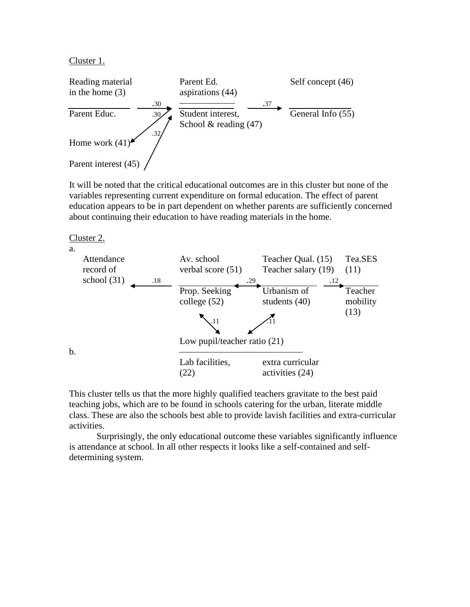Cluster 1.



It will be noted that the critical educational outcomes are in this cluster but none of the variables representing current expenditure on formal education. The effect of parent education appears to be in part dependent on whether parents are sufficiently concerned about continuing their education to have reading materials in the home.

Cluster 2.



This cluster tells us that the more highly qualified teachers gravitate to the best paid teaching jobs, which are to be found in schools catering for the urban, literate middle class. These are also the schools best able to provide lavish facilities and extra-curricular activities.

Surprisingly, the only educational outcome these variables significantly influence is attendance at school. In all other respects it looks like a self-contained and selfdetermining system.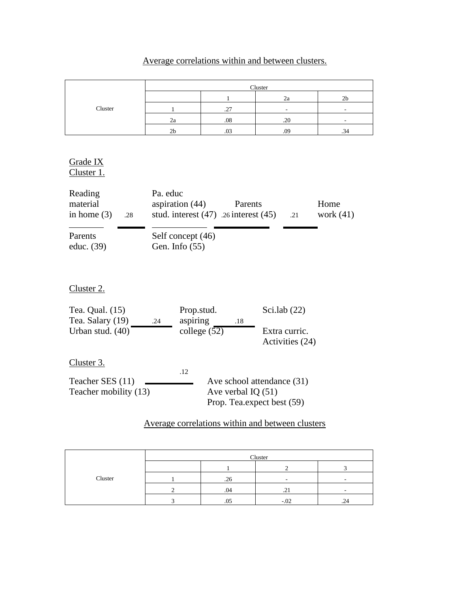# Average correlations within and between clusters.

|         | Cluster        |     |     |    |  |
|---------|----------------|-----|-----|----|--|
|         |                |     | zа  | zo |  |
| Cluster |                | ا ت |     |    |  |
|         | za             | .08 | .20 |    |  |
|         | 2 <sub>b</sub> |     | .09 | -ت |  |

Grade IX Cluster 1.

| Reading<br>material<br>in home $(3)$ | .28 | Pa. educ<br>aspiration $(44)$<br>stud. interest $(47)$ . 26 interest $(45)$ | Parents | .21 | Home<br>work $(41)$ |
|--------------------------------------|-----|-----------------------------------------------------------------------------|---------|-----|---------------------|
| Parents<br>educ. $(39)$              |     | Self concept (46)<br>Gen. Info $(55)$                                       |         |     |                     |

Cluster 2.

| Tea. Qual. (15)<br>Tea. Salary (19)<br>.24 | Prop.stud.<br>aspiring | .18                                                | Sci.lab $(22)$                   |
|--------------------------------------------|------------------------|----------------------------------------------------|----------------------------------|
| Urban stud. (40)                           | college $(52)$         |                                                    | Extra curric.<br>Activities (24) |
| Cluster 3.                                 | .12                    |                                                    |                                  |
| Teacher SES (11)<br>Teacher mobility (13)  |                        | Ave verbal IQ $(51)$<br>Prop. Tea.expect best (59) | Ave school attendance (31)       |

## Average correlations within and between clusters

|         | Cluster |      |        |   |  |
|---------|---------|------|--------|---|--|
|         |         |      |        |   |  |
| Cluster |         | .26  |        |   |  |
|         |         | - 14 |        |   |  |
|         |         | .U.  | $-.02$ | . |  |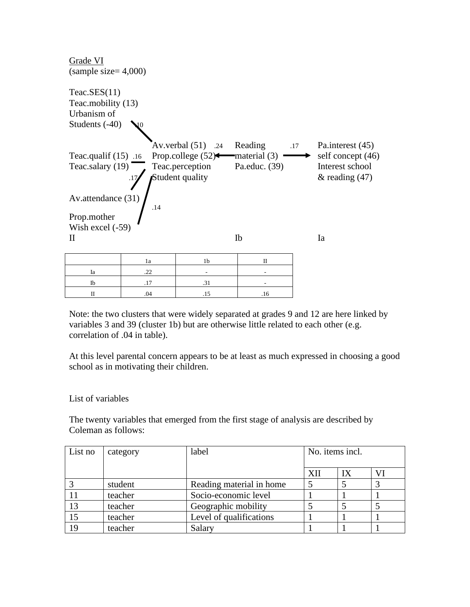

Note: the two clusters that were widely separated at grades 9 and 12 are here linked by variables 3 and 39 (cluster 1b) but are otherwise little related to each other (e.g. correlation of .04 in table).

At this level parental concern appears to be at least as much expressed in choosing a good school as in motivating their children.

## List of variables

The twenty variables that emerged from the first stage of analysis are described by Coleman as follows:

| List no | category | label                    | No. items incl. |    |  |
|---------|----------|--------------------------|-----------------|----|--|
|         |          |                          |                 |    |  |
|         |          |                          | XП              | IX |  |
|         | student  | Reading material in home |                 |    |  |
|         | teacher  | Socio-economic level     |                 |    |  |
| 13      | teacher  | Geographic mobility      |                 |    |  |
| 15      | teacher  | Level of qualifications  |                 |    |  |
| 19      | teacher  | Salary                   |                 |    |  |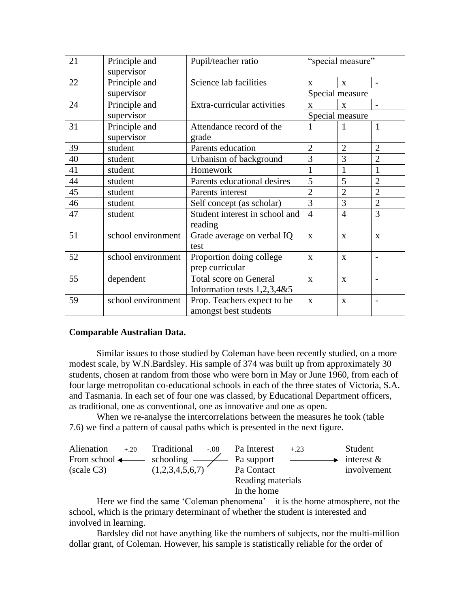| 21 | Principle and      | Pupil/teacher ratio                                         | "special measure" |                 |                          |
|----|--------------------|-------------------------------------------------------------|-------------------|-----------------|--------------------------|
|    | supervisor         |                                                             |                   |                 |                          |
| 22 | Principle and      | Science lab facilities                                      | X                 | $\mathbf{X}$    |                          |
|    | supervisor         |                                                             |                   | Special measure |                          |
| 24 | Principle and      | Extra-curricular activities                                 | $\mathbf{X}$      | $\mathbf{x}$    | $\overline{\phantom{a}}$ |
|    | supervisor         |                                                             |                   | Special measure |                          |
| 31 | Principle and      | Attendance record of the                                    | 1                 | 1               | 1                        |
|    | supervisor         | grade                                                       |                   |                 |                          |
| 39 | student            | Parents education                                           | $\overline{2}$    | $\overline{2}$  | $\overline{2}$           |
| 40 | student            | Urbanism of background                                      | 3                 | 3               | $\overline{2}$           |
| 41 | student            | Homework                                                    | 1                 | 1               | 1                        |
| 44 | student            | Parents educational desires                                 | 5                 | 5               | $\overline{2}$           |
| 45 | student            | Parents interest                                            | $\overline{2}$    | $\overline{2}$  | $\overline{2}$           |
| 46 | student            | Self concept (as scholar)                                   | 3                 | 3               | $\overline{2}$           |
| 47 | student            | Student interest in school and                              | $\overline{4}$    | $\overline{4}$  | 3                        |
|    |                    | reading                                                     |                   |                 |                          |
| 51 | school environment | Grade average on verbal IQ                                  | $\mathbf{X}$      | $\mathbf{X}$    | $\mathbf{X}$             |
|    |                    | test                                                        |                   |                 |                          |
| 52 | school environment | Proportion doing college                                    | $\mathbf{x}$      | $\mathbf{X}$    | $\overline{\phantom{0}}$ |
|    |                    | prep curricular                                             |                   |                 |                          |
| 55 | dependent          | <b>Total score on General</b><br>$\mathbf{X}$               |                   | $\mathbf{X}$    | $\overline{\phantom{a}}$ |
|    |                    | Information tests $1,2,3,4&5$                               |                   |                 |                          |
| 59 | school environment | Prop. Teachers expect to be<br>$\mathbf{x}$<br>$\mathbf{X}$ |                   |                 | $\overline{\phantom{0}}$ |
|    |                    | amongst best students                                       |                   |                 |                          |

### **Comparable Australian Data.**

Similar issues to those studied by Coleman have been recently studied, on a more modest scale, by W.N.Bardsley. His sample of 374 was built up from approximately 30 students, chosen at random from those who were born in May or June 1960, from each of four large metropolitan co-educational schools in each of the three states of Victoria, S.A. and Tasmania. In each set of four one was classed, by Educational Department officers, as traditional, one as conventional, one as innovative and one as open.

When we re-analyse the intercorrelations between the measures he took (table 7.6) we find a pattern of causal paths which is presented in the next figure.

| Alienation                                                         | $+.20$ | Traditional -.08 Pa Interest |                   | $+.23$                                                                                                                                                                                                                               | Student       |
|--------------------------------------------------------------------|--------|------------------------------|-------------------|--------------------------------------------------------------------------------------------------------------------------------------------------------------------------------------------------------------------------------------|---------------|
| From school $\longleftarrow$ schooling $\longleftarrow$ Pa support |        |                              |                   | <u>and the company of the company of the company of the company of the company of the company of the company of the company of the company of the company of the company of the company of the company of the company of the com</u> | interest $\&$ |
| (scale C3)                                                         |        | (1,2,3,4,5,6,7)              | Pa Contact        |                                                                                                                                                                                                                                      | involvement   |
|                                                                    |        |                              | Reading materials |                                                                                                                                                                                                                                      |               |
|                                                                    |        |                              | In the home       |                                                                                                                                                                                                                                      |               |

Here we find the same 'Coleman phenomena' – it is the home atmosphere, not the school, which is the primary determinant of whether the student is interested and involved in learning.

Bardsley did not have anything like the numbers of subjects, nor the multi-million dollar grant, of Coleman. However, his sample is statistically reliable for the order of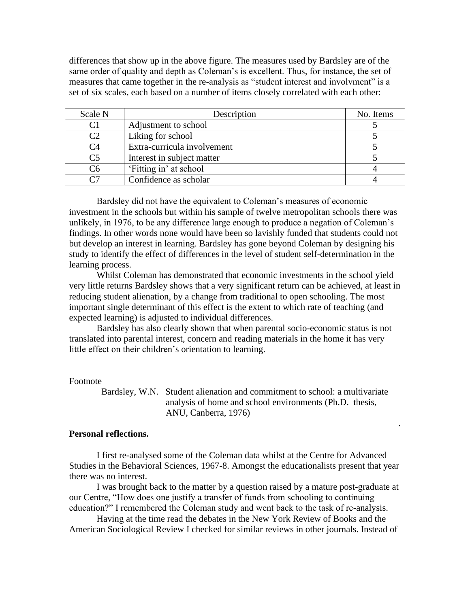differences that show up in the above figure. The measures used by Bardsley are of the same order of quality and depth as Coleman's is excellent. Thus, for instance, the set of measures that came together in the re-analysis as "student interest and involvment" is a set of six scales, each based on a number of items closely correlated with each other:

| Scale N        | Description                 | No. Items |
|----------------|-----------------------------|-----------|
| C1             | Adjustment to school        |           |
| $\mathcal{C}$  | Liking for school           |           |
| C4             | Extra-curricula involvement |           |
| C <sub>5</sub> | Interest in subject matter  |           |
| ි6             | 'Fitting in' at school      |           |
|                | Confidence as scholar       |           |

Bardsley did not have the equivalent to Coleman's measures of economic investment in the schools but within his sample of twelve metropolitan schools there was unlikely, in 1976, to be any difference large enough to produce a negation of Coleman's findings. In other words none would have been so lavishly funded that students could not but develop an interest in learning. Bardsley has gone beyond Coleman by designing his study to identify the effect of differences in the level of student self-determination in the learning process.

Whilst Coleman has demonstrated that economic investments in the school yield very little returns Bardsley shows that a very significant return can be achieved, at least in reducing student alienation, by a change from traditional to open schooling. The most important single determinant of this effect is the extent to which rate of teaching (and expected learning) is adjusted to individual differences.

Bardsley has also clearly shown that when parental socio-economic status is not translated into parental interest, concern and reading materials in the home it has very little effect on their children's orientation to learning.

### Footnote

 Bardsley, W.N. Student alienation and commitment to school: a multivariate analysis of home and school environments (Ph.D. thesis, ANU, Canberra, 1976)

.

### **Personal reflections.**

I first re-analysed some of the Coleman data whilst at the Centre for Advanced Studies in the Behavioral Sciences, 1967-8. Amongst the educationalists present that year there was no interest.

I was brought back to the matter by a question raised by a mature post-graduate at our Centre, "How does one justify a transfer of funds from schooling to continuing education?" I remembered the Coleman study and went back to the task of re-analysis.

Having at the time read the debates in the New York Review of Books and the American Sociological Review I checked for similar reviews in other journals. Instead of